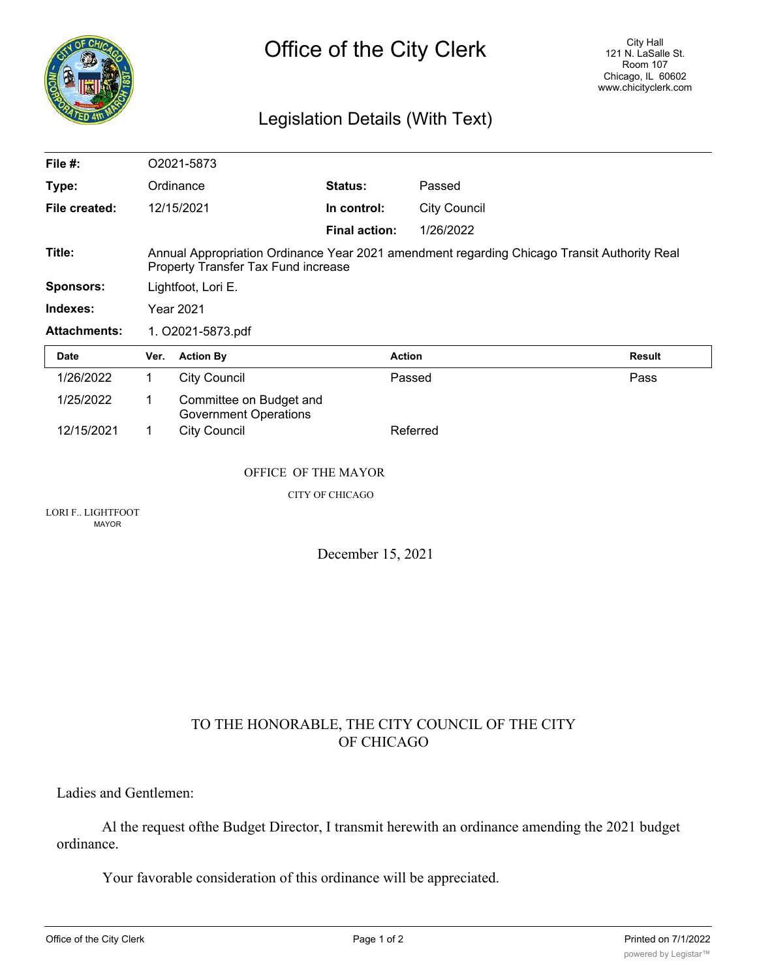

# Legislation Details (With Text)

| File $#$ :          |                                                                                                                                    | O2021-5873                                              |                      |                     |               |
|---------------------|------------------------------------------------------------------------------------------------------------------------------------|---------------------------------------------------------|----------------------|---------------------|---------------|
| Type:               |                                                                                                                                    | Ordinance                                               | Status:              | Passed              |               |
| File created:       |                                                                                                                                    | 12/15/2021                                              | In control:          | <b>City Council</b> |               |
|                     |                                                                                                                                    |                                                         | <b>Final action:</b> | 1/26/2022           |               |
| Title:              | Annual Appropriation Ordinance Year 2021 amendment regarding Chicago Transit Authority Real<br>Property Transfer Tax Fund increase |                                                         |                      |                     |               |
| <b>Sponsors:</b>    | Lightfoot, Lori E.                                                                                                                 |                                                         |                      |                     |               |
| Indexes:            | <b>Year 2021</b>                                                                                                                   |                                                         |                      |                     |               |
| <b>Attachments:</b> | 1. O2021-5873.pdf                                                                                                                  |                                                         |                      |                     |               |
|                     |                                                                                                                                    |                                                         |                      |                     |               |
| Date                | Ver.                                                                                                                               | <b>Action By</b>                                        |                      | <b>Action</b>       | <b>Result</b> |
| 1/26/2022           | 1                                                                                                                                  | <b>City Council</b>                                     |                      | Passed              | Pass          |
| 1/25/2022           | $\mathbf 1$                                                                                                                        | Committee on Budget and<br><b>Government Operations</b> |                      |                     |               |
| 12/15/2021          | 1.                                                                                                                                 | <b>City Council</b>                                     |                      | Referred            |               |

CITY OF CHICAGO

LORI F.. LIGHTFOOT MAYOR

December 15, 2021

## TO THE HONORABLE, THE CITY COUNCIL OF THE CITY OF CHICAGO

Ladies and Gentlemen:

Al the request ofthe Budget Director, I transmit herewith an ordinance amending the 2021 budget ordinance.

Your favorable consideration of this ordinance will be appreciated.